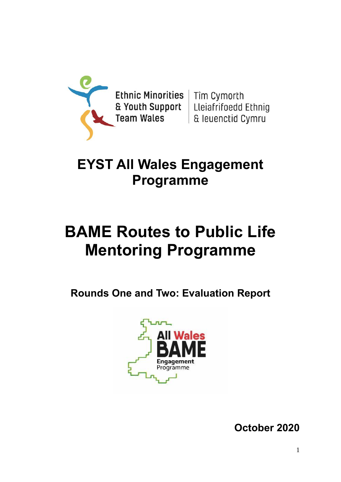

Ethnic Minorities | Tîm Cymorth **Team Wales** 

& Youth Support | Lleiafrifoedd Ethnig & leuenctid Cymru

## **EYST All Wales Engagement Programme**

# **BAME Routes to Public Life Mentoring Programme**

**Rounds One and Two: Evaluation Report** 



**October 2020**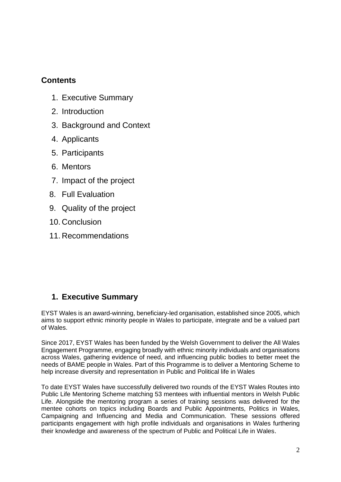## **Contents**

- 1. Executive Summary
- 2. Introduction
- 3. Background and Context
- 4. Applicants
- 5. Participants
- 6. Mentors
- 7. Impact of the project
- 8. Full Evaluation
- 9. Quality of the project
- 10. Conclusion
- 11. Recommendations

## **1. Executive Summary**

EYST Wales is an award-winning, beneficiary-led organisation, established since 2005, which aims to support ethnic minority people in Wales to participate, integrate and be a valued part of Wales.

Since 2017, EYST Wales has been funded by the Welsh Government to deliver the All Wales Engagement Programme, engaging broadly with ethnic minority individuals and organisations across Wales, gathering evidence of need, and influencing public bodies to better meet the needs of BAME people in Wales. Part of this Programme is to deliver a Mentoring Scheme to help increase diversity and representation in Public and Political life in Wales

To date EYST Wales have successfully delivered two rounds of the EYST Wales Routes into Public Life Mentoring Scheme matching 53 mentees with influential mentors in Welsh Public Life. Alongside the mentoring program a series of training sessions was delivered for the mentee cohorts on topics including Boards and Public Appointments, Politics in Wales, Campaigning and Influencing and Media and Communication. These sessions offered participants engagement with high profile individuals and organisations in Wales furthering their knowledge and awareness of the spectrum of Public and Political Life in Wales.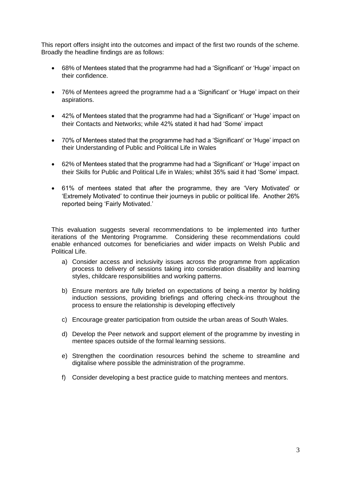This report offers insight into the outcomes and impact of the first two rounds of the scheme. Broadly the headline findings are as follows:

- 68% of Mentees stated that the programme had had a 'Significant' or 'Huge' impact on their confidence.
- 76% of Mentees agreed the programme had a a 'Significant' or 'Huge' impact on their aspirations.
- 42% of Mentees stated that the programme had had a 'Significant' or 'Huge' impact on their Contacts and Networks; while 42% stated it had had 'Some' impact
- 70% of Mentees stated that the programme had had a 'Significant' or 'Huge' impact on their Understanding of Public and Political Life in Wales
- 62% of Mentees stated that the programme had had a 'Significant' or 'Huge' impact on their Skills for Public and Political Life in Wales; whilst 35% said it had 'Some' impact.
- 61% of mentees stated that after the programme, they are 'Very Motivated' or 'Extremely Motivated' to continue their journeys in public or political life. Another 26% reported being 'Fairly Motivated.'

This evaluation suggests several recommendations to be implemented into further iterations of the Mentoring Programme. Considering these recommendations could enable enhanced outcomes for beneficiaries and wider impacts on Welsh Public and Political Life.

- a) Consider access and inclusivity issues across the programme from application process to delivery of sessions taking into consideration disability and learning styles, childcare responsibilities and working patterns.
- b) Ensure mentors are fully briefed on expectations of being a mentor by holding induction sessions, providing briefings and offering check-ins throughout the process to ensure the relationship is developing effectively
- c) Encourage greater participation from outside the urban areas of South Wales.
- d) Develop the Peer network and support element of the programme by investing in mentee spaces outside of the formal learning sessions.
- e) Strengthen the coordination resources behind the scheme to streamline and digitalise where possible the administration of the programme.
- f) Consider developing a best practice guide to matching mentees and mentors.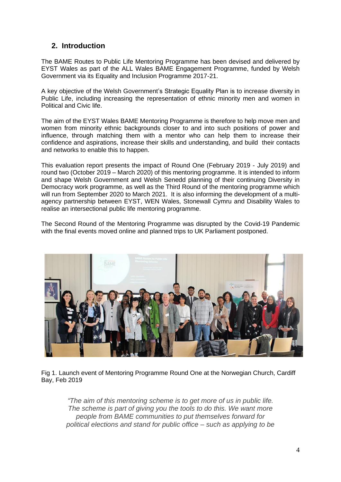## **2. Introduction**

The BAME Routes to Public Life Mentoring Programme has been devised and delivered by EYST Wales as part of the ALL Wales BAME Engagement Programme, funded by Welsh Government via its Equality and Inclusion Programme 2017-21.

A key objective of the Welsh Government's Strategic Equality Plan is to increase diversity in Public Life, including increasing the representation of ethnic minority men and women in Political and Civic life.

The aim of the EYST Wales BAME Mentoring Programme is therefore to help move men and women from minority ethnic backgrounds closer to and into such positions of power and influence, through matching them with a mentor who can help them to increase their confidence and aspirations, increase their skills and understanding, and build their contacts and networks to enable this to happen.

This evaluation report presents the impact of Round One (February 2019 - July 2019) and round two (October 2019 – March 2020) of this mentoring programme. It is intended to inform and shape Welsh Government and Welsh Senedd planning of their continuing Diversity in Democracy work programme, as well as the Third Round of the mentoring programme which will run from September 2020 to March 2021. It is also informing the development of a multiagency partnership between EYST, WEN Wales, Stonewall Cymru and Disability Wales to realise an intersectional public life mentoring programme.

The Second Round of the Mentoring Programme was disrupted by the Covid-19 Pandemic with the final events moved online and planned trips to UK Parliament postponed.



Fig 1. Launch event of Mentoring Programme Round One at the Norwegian Church, Cardiff Bay, Feb 2019

*"The aim of this mentoring scheme is to get more of us in public life. The scheme is part of giving you the tools to do this. We want more people from BAME communities to put themselves forward for political elections and stand for public office – such as applying to be*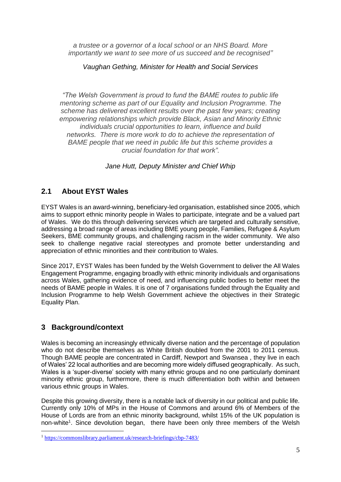*a trustee or a governor of a local school or an NHS Board. More importantly we want to see more of us succeed and be recognised"*

*Vaughan Gething, Minister for Health and Social Services*

*"The Welsh Government is proud to fund the BAME routes to public life mentoring scheme as part of our Equality and Inclusion Programme. The scheme has delivered excellent results over the past few years; creating empowering relationships which provide Black, Asian and Minority Ethnic individuals crucial opportunities to learn, influence and build networks. There is more work to do to achieve the representation of BAME people that we need in public life but this scheme provides a crucial foundation for that work".*

*Jane Hutt, Deputy Minister and Chief Whip*

## **2.1 About EYST Wales**

EYST Wales is an award-winning, beneficiary-led organisation, established since 2005, which aims to support ethnic minority people in Wales to participate, integrate and be a valued part of Wales. We do this through delivering services which are targeted and culturally sensitive, addressing a broad range of areas including BME young people, Families, Refugee & Asylum Seekers, BME community groups, and challenging racism in the wider community. We also seek to challenge negative racial stereotypes and promote better understanding and appreciation of ethnic minorities and their contribution to Wales.

Since 2017, EYST Wales has been funded by the Welsh Government to deliver the All Wales Engagement Programme, engaging broadly with ethnic minority individuals and organisations across Wales, gathering evidence of need, and influencing public bodies to better meet the needs of BAME people in Wales. It is one of 7 organisations funded through the Equality and Inclusion Programme to help Welsh Government achieve the objectives in their Strategic Equality Plan.

## **3 Background/context**

Wales is becoming an increasingly ethnically diverse nation and the percentage of population who do not describe themselves as White British doubled from the 2001 to 2011 census. Though BAME people are concentrated in Cardiff, Newport and Swansea , they live in each of Wales' 22 local authorities and are becoming more widely diffused geographically. As such, Wales is a 'super-diverse' society with many ethnic groups and no one particularly dominant minority ethnic group, furthermore, there is much differentiation both within and between various ethnic groups in Wales.

Despite this growing diversity, there is a notable lack of diversity in our political and public life. Currently only 10% of MPs in the House of Commons and around 6% of Members of the House of Lords are from an ethnic minority background, whilst 15% of the UK population is non-white<sup>1</sup>. Since devolution began, there have been only three members of the Welsh

<sup>1</sup> <https://commonslibrary.parliament.uk/research-briefings/cbp-7483/>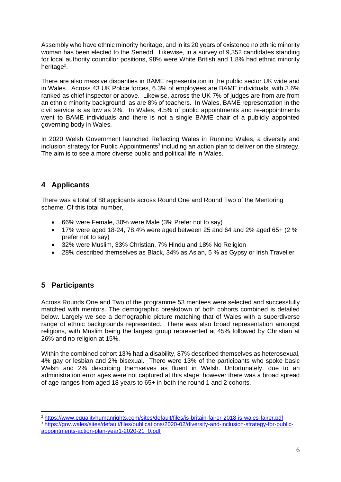Assembly who have ethnic minority heritage, and in its 20 years of existence no ethnic minority woman has been elected to the Senedd. Likewise, in a survey of 9,352 candidates standing for local authority councillor positions, 98% were White British and 1.8% had ethnic minority heritage<sup>2</sup>.

There are also massive disparities in BAME representation in the public sector UK wide and in Wales. Across 43 UK Police forces, 6.3% of employees are BAME individuals, with 3.6% ranked as chief inspector or above. Likewise, across the UK 7% of judges are from are from an ethnic minority background, as are 8% of teachers. In Wales, BAME representation in the civil service is as low as 2%.In Wales, 4.5% of public appointments and re-appointments went to BAME individuals and there is not a single BAME chair of a publicly appointed governing body in Wales.

In 2020 Welsh Government launched Reflecting Wales in Running Wales, a diversity and inclusion strategy for Public Appointments<sup>3</sup> including an action plan to deliver on the strategy. The aim is to see a more diverse public and political life in Wales.

## **4 Applicants**

There was a total of 88 applicants across Round One and Round Two of the Mentoring scheme. Of this total number,

- 66% were Female, 30% were Male (3% Prefer not to say)
- 17% were aged 18-24, 78.4% were aged between 25 and 64 and 2% aged 65+ (2 %) prefer not to say)
- 32% were Muslim, 33% Christian, 7% Hindu and 18% No Religion
- 28% described themselves as Black, 34% as Asian, 5 % as Gypsy or Irish Traveller

## **5 Participants**

Across Rounds One and Two of the programme 53 mentees were selected and successfully matched with mentors. The demographic breakdown of both cohorts combined is detailed below. Largely we see a demographic picture matching that of Wales with a superdiverse range of ethnic backgrounds represented. There was also broad representation amongst religions, with Muslim being the largest group represented at 45% followed by Christian at 26% and no religion at 15%.

Within the combined cohort 13% had a disability, 87% described themselves as heterosexual, 4% gay or lesbian and 2% bisexual. There were 13% of the participants who spoke basic Welsh and 2% describing themselves as fluent in Welsh. Unfortunately, due to an administration error ages were not captured at this stage; however there was a broad spread of age ranges from aged 18 years to 65+ in both the round 1 and 2 cohorts.

<sup>2</sup> <https://www.equalityhumanrights.com/sites/default/files/is-britain-fairer-2018-is-wales-fairer.pdf>

<sup>&</sup>lt;sup>3</sup> [https://gov.wales/sites/default/files/publications/2020-02/diversity-and-inclusion-strategy-for-public](https://gov.wales/sites/default/files/publications/2020-02/diversity-and-inclusion-strategy-for-public-appointments-action-plan-year1-2020-21_0.pdf)[appointments-action-plan-year1-2020-21\\_0.pdf](https://gov.wales/sites/default/files/publications/2020-02/diversity-and-inclusion-strategy-for-public-appointments-action-plan-year1-2020-21_0.pdf)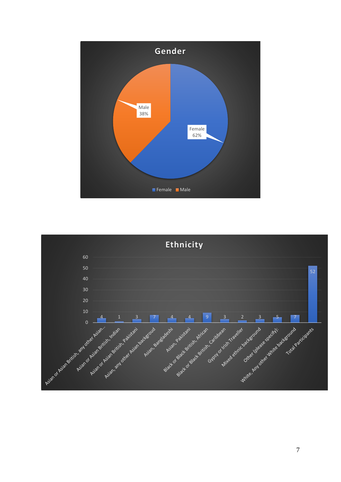

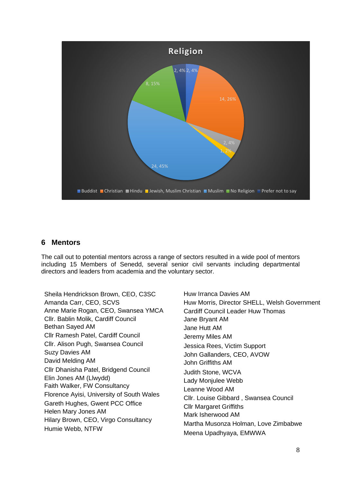

### **6 Mentors**

The call out to potential mentors across a range of sectors resulted in a wide pool of mentors including 15 Members of Senedd, several senior civil servants including departmental directors and leaders from academia and the voluntary sector.

Sheila Hendrickson Brown, CEO, C3SC Amanda Carr, CEO, SCVS Anne Marie Rogan, CEO, Swansea YMCA Cllr. Bablin Molik, Cardiff Council Bethan Sayed AM Cllr Ramesh Patel, Cardiff Council Cllr. Alison Pugh, Swansea Council Suzy Davies AM David Melding AM Cllr Dhanisha Patel, Bridgend Council Elin Jones AM (Llwydd) Faith Walker, FW Consultancy Florence Ayisi, University of South Wales Gareth Hughes, Gwent PCC Office Helen Mary Jones AM Hilary Brown, CEO, Virgo Consultancy Humie Webb, NTFW

Huw Irranca Davies AM Huw Morris, Director SHELL, Welsh Government Cardiff Council Leader Huw Thomas Jane Bryant AM Jane Hutt AM Jeremy Miles AM Jessica Rees, Victim Support John Gallanders, CEO, AVOW John Griffiths AM Judith Stone, WCVA Lady Monjulee Webb Leanne Wood AM Cllr. Louise Gibbard , Swansea Council Cllr Margaret Griffiths Mark Isherwood AM Martha Musonza Holman, Love Zimbabwe Meena Upadhyaya, EMWWA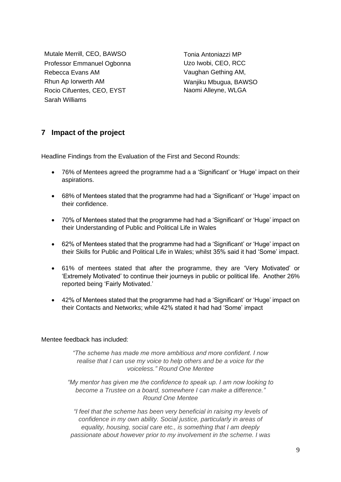Mutale Merrill, CEO, BAWSO Professor Emmanuel Ogbonna Rebecca Evans AM Rhun Ap Iorwerth AM Rocio Cifuentes, CEO, EYST Sarah Williams

Tonia Antoniazzi MP Uzo Iwobi, CEO, RCC Vaughan Gething AM, Wanjiku Mbugua, BAWSO Naomi Alleyne, WLGA

## **7 Impact of the project**

Headline Findings from the Evaluation of the First and Second Rounds:

- 76% of Mentees agreed the programme had a a 'Significant' or 'Huge' impact on their aspirations.
- 68% of Mentees stated that the programme had had a 'Significant' or 'Huge' impact on their confidence.
- 70% of Mentees stated that the programme had had a 'Significant' or 'Huge' impact on their Understanding of Public and Political Life in Wales
- 62% of Mentees stated that the programme had had a 'Significant' or 'Huge' impact on their Skills for Public and Political Life in Wales; whilst 35% said it had 'Some' impact.
- 61% of mentees stated that after the programme, they are 'Very Motivated' or 'Extremely Motivated' to continue their journeys in public or political life. Another 26% reported being 'Fairly Motivated.'
- 42% of Mentees stated that the programme had had a 'Significant' or 'Huge' impact on their Contacts and Networks; while 42% stated it had had 'Some' impact

#### Mentee feedback has included:

*"The scheme has made me more ambitious and more confident. I now realise that I can use my voice to help others and be a voice for the voiceless." Round One Mentee*

*"My mentor has given me the confidence to speak up. I am now looking to become a Trustee on a board, somewhere I can make a difference." Round One Mentee* 

*"I feel that the scheme has been very beneficial in raising my levels of confidence in my own ability. Social justice, particularly in areas of equality, housing, social care etc., is something that I am deeply passionate about however prior to my involvement in the scheme. I was*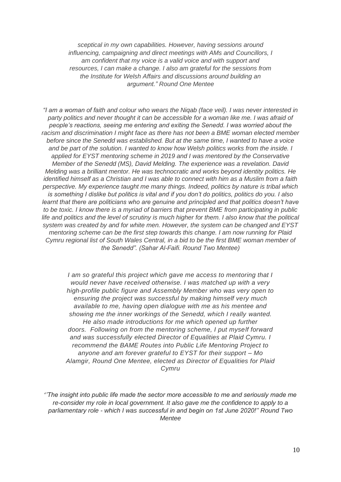*sceptical in my own capabilities. However, having sessions around influencing, campaigning and direct meetings with AMs and Councillors, I am confident that my voice is a valid voice and with support and resources, I can make a change. I also am grateful for the sessions from the Institute for Welsh Affairs and discussions around building an argument." Round One Mentee*

*"I am a woman of faith and colour who wears the Niqab (face veil). I was never interested in party politics and never thought it can be accessible for a woman like me. I was afraid of people's reactions, seeing me entering and exiting the Senedd. I was worried about the racism and discrimination I might face as there has not been a BME woman elected member before since the Senedd was established. But at the same time, I wanted to have a voice and be part of the solution. I wanted to know how Welsh politics works from the inside. I applied for EYST mentoring scheme in 2019 and I was mentored by the Conservative Member of the Senedd (MS), David Melding. The experience was a revelation. David Melding was a brilliant mentor. He was technocratic and works beyond identity politics. He identified himself as a Christian and I was able to connect with him as a Muslim from a faith perspective. My experience taught me many things. Indeed, politics by nature is tribal which is something I dislike but politics is vital and if you don't do politics, politics do you. I also learnt that there are politicians who are genuine and principled and that politics doesn't have to be toxic. I know there is a myriad of barriers that prevent BME from participating in public life and politics and the level of scrutiny is much higher for them. I also know that the political system was created by and for white men. However, the system can be changed and EYST mentoring scheme can be the first step towards this change. I am now running for Plaid Cymru regional list of South Wales Central, in a bid to be the first BME woman member of the Senedd". (Sahar Al-Faifi. Round Two Mentee)*

*I am so grateful this project which gave me access to mentoring that I would never have received otherwise. I was matched up with a very high-profile public figure and Assembly Member who was very open to ensuring the project was successful by making himself very much available to me, having open dialogue with me as his mentee and showing me the inner workings of the Senedd, which I really wanted. He also made introductions for me which opened up further doors. Following on from the mentoring scheme, I put myself forward and was successfully elected Director of Equalities at Plaid Cymru. I recommend the BAME Routes into Public Life Mentoring Project to anyone and am forever grateful to EYST for their support – Mo Alamgir, Round One Mentee, elected as Director of Equalities for Plaid Cymru*

'*'The insight into public life made the sector more accessible to me and seriously made me re-consider my role in local government. It also gave me the confidence to apply to a parliamentary role - which I was successful in and begin on 1st June 2020!'' Round Two Mentee*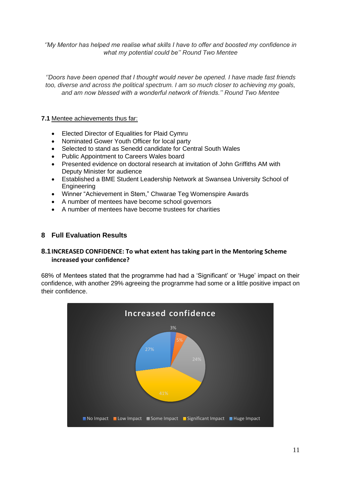*''My Mentor has helped me realise what skills I have to offer and boosted my confidence in what my potential could be'' Round Two Mentee*

*''Doors have been opened that I thought would never be opened. I have made fast friends too, diverse and across the political spectrum. I am so much closer to achieving my goals, and am now blessed with a wonderful network of friends.'' Round Two Mentee*

#### **7.1** Mentee achievements thus far:

- Elected Director of Equalities for Plaid Cymru
- Nominated Gower Youth Officer for local party
- Selected to stand as Senedd candidate for Central South Wales
- Public Appointment to Careers Wales board
- Presented evidence on doctoral research at invitation of John Griffiths AM with Deputy Minister for audience
- Established a BME Student Leadership Network at Swansea University School of **Engineering**
- Winner "Achievement in Stem," Chwarae Teg Womenspire Awards
- A number of mentees have become school governors
- A number of mentees have become trustees for charities

#### **8 Full Evaluation Results**

#### **8.1INCREASED CONFIDENCE: To what extent has taking part in the Mentoring Scheme increased your confidence?**

68% of Mentees stated that the programme had had a 'Significant' or 'Huge' impact on their confidence, with another 29% agreeing the programme had some or a little positive impact on their confidence.

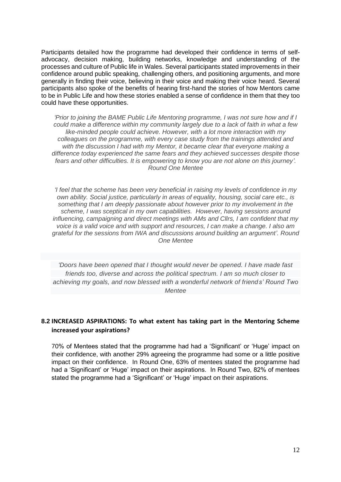Participants detailed how the programme had developed their confidence in terms of selfadvocacy, decision making, building networks, knowledge and understanding of the processes and culture of Public life in Wales. Several participants stated improvements in their confidence around public speaking, challenging others, and positioning arguments, and more generally in finding their voice, believing in their voice and making their voice heard. Several participants also spoke of the benefits of hearing first-hand the stories of how Mentors came to be in Public Life and how these stories enabled a sense of confidence in them that they too could have these opportunities.

*'Prior to joining the BAME Public Life Mentoring programme, I was not sure how and if I could make a difference within my community largely due to a lack of faith in what a few like-minded people could achieve. However, with a lot more interaction with my colleagues on the programme, with every case study from the trainings attended and with the discussion I had with my Mentor, it became clear that everyone making a difference today experienced the same fears and they achieved successes despite those fears and other difficulties. It is empowering to know you are not alone on this journey'. Round One Mentee*

*'I feel that the scheme has been very beneficial in raising my levels of confidence in my own ability. Social justice, particularly in areas of equality, housing, social care etc., is something that I am deeply passionate about however prior to my involvement in the scheme, I was sceptical in my own capabilities. However, having sessions around influencing, campaigning and direct meetings with AMs and Cllrs, I am confident that my voice is a valid voice and with support and resources, I can make a change. I also am grateful for the sessions from IWA and discussions around building an argument'. Round One Mentee*

*'Doors have been opened that I thought would never be opened. I have made fast friends too, diverse and across the political spectrum. I am so much closer to achieving my goals, and now blessed with a wonderful network of friends' Round Two Mentee*

#### **8.2 INCREASED ASPIRATIONS: To what extent has taking part in the Mentoring Scheme increased your aspirations?**

70% of Mentees stated that the programme had had a 'Significant' or 'Huge' impact on their confidence, with another 29% agreeing the programme had some or a little positive impact on their confidence. In Round One, 63% of mentees stated the programme had had a 'Significant' or 'Huge' impact on their aspirations. In Round Two, 82% of mentees stated the programme had a 'Significant' or 'Huge' impact on their aspirations.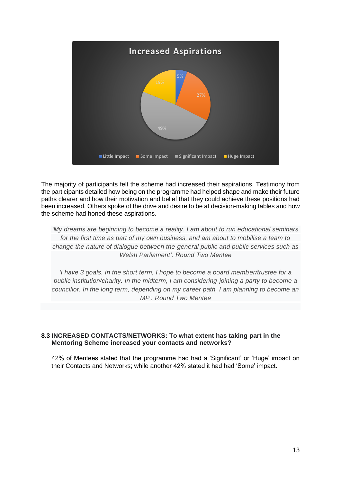

The majority of participants felt the scheme had increased their aspirations. Testimony from the participants detailed how being on the programme had helped shape and make their future paths clearer and how their motivation and belief that they could achieve these positions had been increased. Others spoke of the drive and desire to be at decision-making tables and how the scheme had honed these aspirations.

*'My dreams are beginning to become a reality. I am about to run educational seminars for the first time as part of my own business, and am about to mobilise a team to change the nature of dialogue between the general public and public services such as Welsh Parliament'. Round Two Mentee*

*'I have 3 goals. In the short term, I hope to become a board member/trustee for a public institution/charity. In the midterm, I am considering joining a party to become a councillor. In the long term, depending on my career path, I am planning to become an MP'. Round Two Mentee*

#### **8.3 INCREASED CONTACTS/NETWORKS: To what extent has taking part in the Mentoring Scheme increased your contacts and networks?**

42% of Mentees stated that the programme had had a 'Significant' or 'Huge' impact on their Contacts and Networks; while another 42% stated it had had 'Some' impact.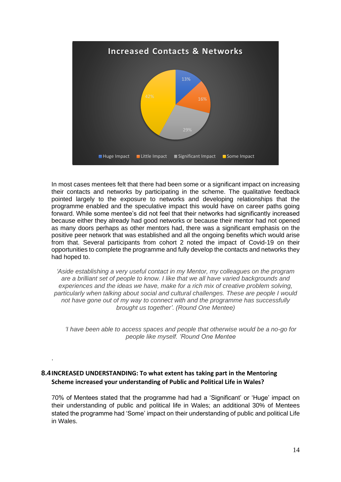

In most cases mentees felt that there had been some or a significant impact on increasing their contacts and networks by participating in the scheme. The qualitative feedback pointed largely to the exposure to networks and developing relationships that the programme enabled and the speculative impact this would have on career paths going forward. While some mentee's did not feel that their networks had significantly increased because either they already had good networks or because their mentor had not opened as many doors perhaps as other mentors had, there was a significant emphasis on the positive peer network that was established and all the ongoing benefits which would arise from that. Several participants from cohort 2 noted the impact of Covid-19 on their opportunities to complete the programme and fully develop the contacts and networks they had hoped to.

*'Aside establishing a very useful contact in my Mentor, my colleagues on the program are a brilliant set of people to know. I like that we all have varied backgrounds and experiences and the ideas we have, make for a rich mix of creative problem solving, particularly when talking about social and cultural challenges. These are people I would not have gone out of my way to connect with and the programme has successfully brought us together'. (Round One Mentee)*

*'I have been able to access spaces and people that otherwise would be a no-go for people like myself. 'Round One Mentee*

#### **8.4INCREASED UNDERSTANDING: To what extent has taking part in the Mentoring Scheme increased your understanding of Public and Political Life in Wales?**

.

70% of Mentees stated that the programme had had a 'Significant' or 'Huge' impact on their understanding of public and political life in Wales; an additional 30% of Mentees stated the programme had 'Some' impact on their understanding of public and political Life in Wales.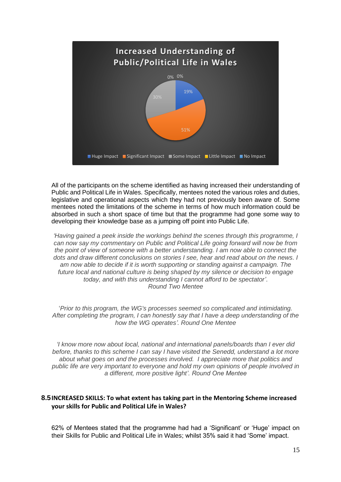

All of the participants on the scheme identified as having increased their understanding of Public and Political Life in Wales. Specifically, mentees noted the various roles and duties, legislative and operational aspects which they had not previously been aware of. Some mentees noted the limitations of the scheme in terms of how much information could be absorbed in such a short space of time but that the programme had gone some way to developing their knowledge base as a jumping off point into Public Life.

*'Having gained a peek inside the workings behind the scenes through this programme, I can now say my commentary on Public and Political Life going forward will now be from the point of view of someone with a better understanding. I am now able to connect the dots and draw different conclusions on stories I see, hear and read about on the news. I am now able to decide if it is worth supporting or standing against a campaign. The future local and national culture is being shaped by my silence or decision to engage today, and with this understanding I cannot afford to be spectator'*. *Round Two Mentee*

'*Prior to this program, the WG's processes seemed so complicated and intimidating. After completing the program, I can honestly say that I have a deep understanding of the how the WG operates'. Round One Mentee*

*'I know more now about local, national and international panels/boards than I ever did before, thanks to this scheme I can say I have visited the Senedd, understand a lot more about what goes on and the processes involved. I appreciate more that politics and public life are very important to everyone and hold my own opinions of people involved in a different, more positive light'. Round One Mentee*

#### **8.5INCREASED SKILLS: To what extent has taking part in the Mentoring Scheme increased your skills for Public and Political Life in Wales?**

62% of Mentees stated that the programme had had a 'Significant' or 'Huge' impact on their Skills for Public and Political Life in Wales; whilst 35% said it had 'Some' impact.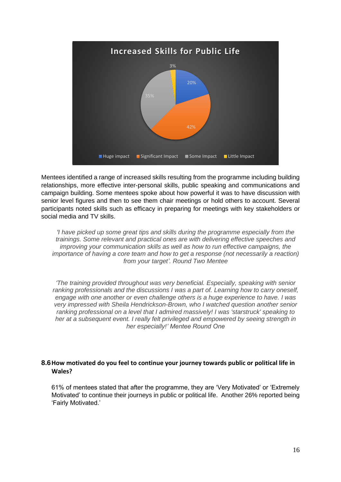

Mentees identified a range of increased skills resulting from the programme including building relationships, more effective inter-personal skills, public speaking and communications and campaign building. Some mentees spoke about how powerful it was to have discussion with senior level figures and then to see them chair meetings or hold others to account. Several participants noted skills such as efficacy in preparing for meetings with key stakeholders or social media and TV skills.

*'I have picked up some great tips and skills during the programme especially from the trainings. Some relevant and practical ones are with delivering effective speeches and improving your communication skills as well as how to run effective campaigns, the importance of having a core team and how to get a response (not necessarily a reaction) from your target'. Round Two Mentee*

*'The training provided throughout was very beneficial. Especially, speaking with senior ranking professionals and the discussions I was a part of. Learning how to carry oneself, engage with one another or even challenge others is a huge experience to have. I was very impressed with Sheila Hendrickson-Brown, who I watched question another senior ranking professional on a level that I admired massively! I was 'starstruck' speaking to her at a subsequent event. I really felt privileged and empowered by seeing strength in her especially!' Mentee Round One*

#### **8.6How motivated do you feel to continue your journey towards public or political life in Wales?**

61% of mentees stated that after the programme, they are 'Very Motivated' or 'Extremely Motivated' to continue their journeys in public or political life. Another 26% reported being 'Fairly Motivated.'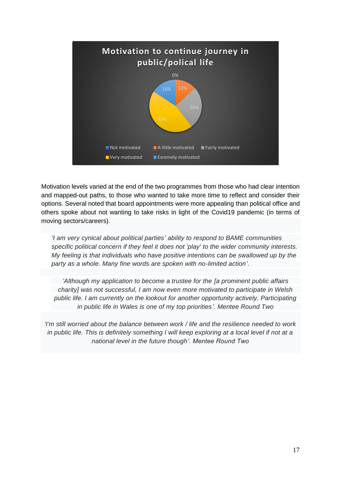

Motivation levels varied at the end of the two programmes from those who had clear intention and mapped-out paths, to those who wanted to take more time to reflect and consider their options. Several noted that board appointments were more appealing than political office and others spoke about not wanting to take risks in light of the Covid19 pandemic (in terms of moving sectors/careers).

*'I am very cynical about political parties' ability to respond to BAME communities specific political concern if they feel it does not 'play' to the wider community interests. My feeling is that individuals who have positive intentions can be swallowed up by the party as a whole. Many fine words are spoken with no-limited action'*.

*'Although my application to become a trustee for the [a prominent public affairs charity] was not successful, I am now even more motivated to participate in Welsh public life. I am currently on the lookout for another opportunity actively. Participating in public life in Wales is one of my top priorities'. Mentee Round Two*

*'I'm still worried about the balance between work / life and the resilience needed to work in public life. This is definitely something I will keep exploring at a local level if not at a national level in the future though'. Mentee Round Two*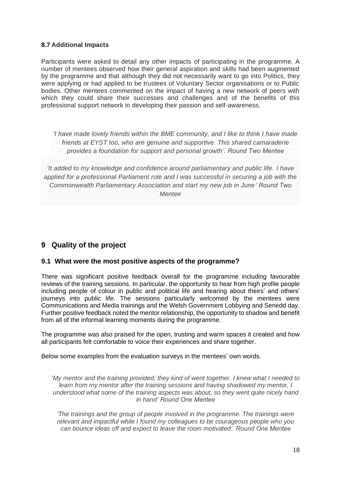#### **8.7 Additional Impacts**

Participants were asked to detail any other impacts of participating in the programme. A number of mentees observed how their general aspiration and skills had been augmented by the programme and that although they did not necessarily want to go into Politics, they were applying or had applied to be trustees of Voluntary Sector organisations or to Public bodies. Other mentees commented on the impact of having a new network of peers with which they could share their successes and challenges and of the benefits of this professional support network in developing their passion and self-awareness.

*'I have made lovely friends within the BME community, and I like to think I have made friends at EYST too, who are genuine and supportive. This shared camaraderie provides a foundation for support and personal growth'. Round Two Mentee*

*'It added to my knowledge and confidence around parliamentary and public life. I have applied for a professional Parliament role and I was successful in securing a job with the Commonwealth Parliamentary Association and start my new job in June' Round Two Mentee*

## **9 Quality of the project**

#### **9.1 What were the most positive aspects of the programme?**

There was significant positive feedback overall for the programme including favourable reviews of the training sessions. In particular, the opportunity to hear from high profile people including people of colour in public and political life and hearing about theirs' and others' journeys into public life. The sessions particularly welcomed by the mentees were Communications and Media trainings and the Welsh Government Lobbying and Senedd day. Further positive feedback noted the mentor relationship, the opportunity to shadow and benefit from all of the informal learning moments during the programme.

The programme was also praised for the open, trusting and warm spaces it created and how all participants felt comfortable to voice their experiences and share together.

Below some examples from the evaluation surveys in the mentees' own words.

'*My mentor and the training provided; they kind of went together. I knew what I needed to learn from my mentor after the training sessions and having shadowed my mentor, I understood what some of the training aspects was about, so they went quite nicely hand in hand' Round One Mentee*

*'The trainings and the group of people involved in the programme. The trainings were relevant and impactful while I found my colleagues to be courageous people who you can bounce ideas off and expect to leave the room motivated'. Round One Mentee*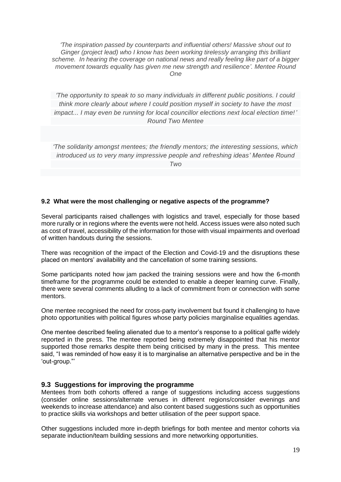*'The inspiration passed by counterparts and influential others! Massive shout out to Ginger (project lead) who I know has been working tirelessly arranging this brilliant scheme. In hearing the coverage on national news and really feeling like part of a bigger movement towards equality has given me new strength and resilience'. Mentee Round One*

*'The opportunity to speak to so many individuals in different public positions. I could think more clearly about where I could position myself in society to have the most impact... I may even be running for local councillor elections next local election time!' Round Two Mentee*

*'The solidarity amongst mentees; the friendly mentors; the interesting sessions, which introduced us to very many impressive people and refreshing ideas' Mentee Round Two*

#### **9.2 What were the most challenging or negative aspects of the programme?**

Several participants raised challenges with logistics and travel, especially for those based more rurally or in regions where the events were not held. Access issues were also noted such as cost of travel, accessibility of the information for those with visual impairments and overload of written handouts during the sessions.

There was recognition of the impact of the Election and Covid-19 and the disruptions these placed on mentors' availability and the cancellation of some training sessions.

Some participants noted how jam packed the training sessions were and how the 6-month timeframe for the programme could be extended to enable a deeper learning curve. Finally, there were several comments alluding to a lack of commitment from or connection with some mentors.

One mentee recognised the need for cross-party involvement but found it challenging to have photo opportunities with political figures whose party policies marginalise equalities agendas.

One mentee described feeling alienated due to a mentor's response to a political gaffe widely reported in the press. The mentee reported being extremely disappointed that his mentor supported those remarks despite them being criticised by many in the press. This mentee said, "I was reminded of how easy it is to marginalise an alternative perspective and be in the 'out-group."'

#### **9.3 Suggestions for improving the programme**

Mentees from both cohorts offered a range of suggestions including access suggestions (consider online sessions/alternate venues in different regions/consider evenings and weekends to increase attendance) and also content based suggestions such as opportunities to practice skills via workshops and better utilisation of the peer support space.

Other suggestions included more in-depth briefings for both mentee and mentor cohorts via separate induction/team building sessions and more networking opportunities.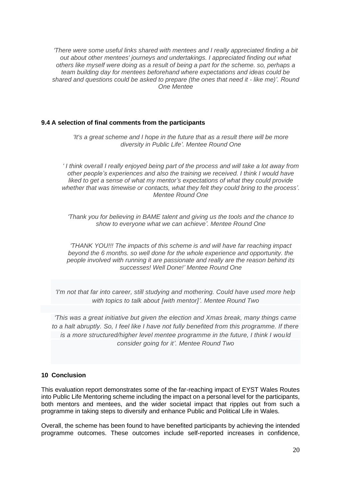*'There were some useful links shared with mentees and I really appreciated finding a bit out about other mentees' journeys and undertakings. I appreciated finding out what others like myself were doing as a result of being a part for the scheme. so, perhaps a team building day for mentees beforehand where expectations and ideas could be shared and questions could be asked to prepare (the ones that need it - like me)'. Round One Mentee*

#### **9.4 A selection of final comments from the participants**

*'It's a great scheme and I hope in the future that as a result there will be more diversity in Public Life'. Mentee Round One*

*' I think overall I really enjoyed being part of the process and will take a lot away from other people's experiences and also the training we received. I think I would have liked to get a sense of what my mentor's expectations of what they could provide whether that was timewise or contacts, what they felt they could bring to the process'. Mentee Round One*

*'Thank you for believing in BAME talent and giving us the tools and the chance to show to everyone what we can achieve'. Mentee Round One*

*'THANK YOU!!! The impacts of this scheme is and will have far reaching impact beyond the 6 months. so well done for the whole experience and opportunity. the people involved with running it are passionate and really are the reason behind its successes! Well Done!' Mentee Round One*

*'I'm not that far into career, still studying and mothering. Could have used more help with topics to talk about [with mentor]'. Mentee Round Two*

*'This was a great initiative but given the election and Xmas break, many things came to a halt abruptly. So, I feel like I have not fully benefited from this programme. If there is a more structured/higher level mentee programme in the future, I think I would consider going for it'. Mentee Round Two*

#### **10 Conclusion**

This evaluation report demonstrates some of the far-reaching impact of EYST Wales Routes into Public Life Mentoring scheme including the impact on a personal level for the participants, both mentors and mentees, and the wider societal impact that ripples out from such a programme in taking steps to diversify and enhance Public and Political Life in Wales.

Overall, the scheme has been found to have benefited participants by achieving the intended programme outcomes. These outcomes include self-reported increases in confidence,